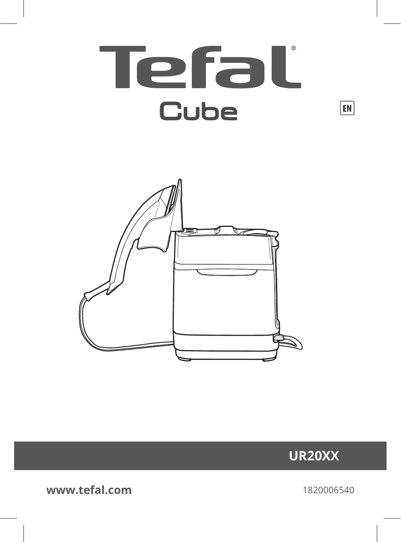





**www.tefal.com**

1820006540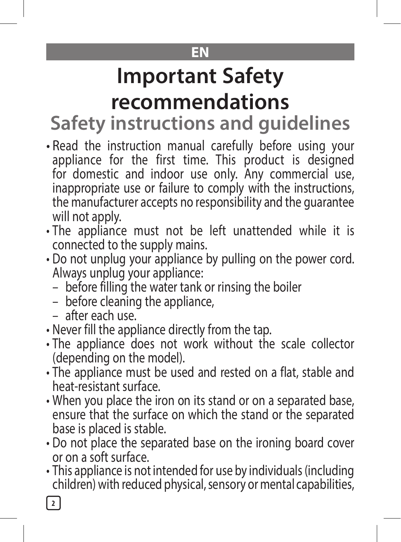### **EN**

# **Important Safety recommendations**

**Safety instructions and guidelines**

- Read the instruction manual carefully before using your appliance for the first time. This product is designed for domestic and indoor use only. Any commercial use, inappropriate use or failure to comply with the instructions, the manufacturer accepts no responsibility and the guarantee will not apply.
- The appliance must not be left unattended while it is connected to the supply mains.
- Do not unplug your appliance by pulling on the power cord. Always unplug your appliance:
	- before filling the water tank or rinsing the boiler
	- before cleaning the appliance,
	- after each use.
- Never fill the appliance directly from the tap.
- The appliance does not work without the scale collector (depending on the model).
- The appliance must be used and rested on a flat, stable and heat-resistant surface.
- When you place the iron on its stand or on a separated base, ensure that the surface on which the stand or the separated base is placed is stable.
- Do not place the separated base on the ironing board cover or on a soft surface.
- This appliance is not intended for use by individuals (including children) with reduced physical, sensory or mental capabilities,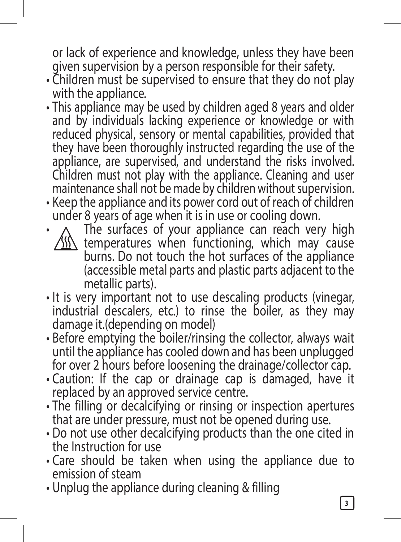or lack of experience and knowledge, unless they have been given supervision by a person responsible for their safety.

- Children must be supervised to ensure that they do not play with the appliance.
- $\cdot$  This appliance may be used by children aged 8 years and older and by individuals lacking experience or knowledge or with reduced physical, sensory or mental capabilities, provided that they have been thoroughly instructed regarding the use of the appliance, are supervised, and understand the risks involved. Children must not play with the appliance. Cleaning and user maintenance shall not be made by children without supervision.
- Keep the appliance and its power cord out of reach of children under 8 years of age when it is in use or cooling down.
- The surfaces of your appliance can reach very high  $\langle \mathcal{W} \rangle$  temperatures when functioning, which may cause burns. Do not touch the hot surfaces of the appliance (accessible metal parts and plastic parts adjacent to the metallic parts).
- It is very important not to use descaling products (vinegar, industrial descalers, etc.) to rinse the boiler, as they may damage it.(depending on model)
- Before emptying the boiler/rinsing the collector, always wait until the appliance has cooled down and has been unplugged for over 2 hours before loosening the drainage/collector cap.
- Caution: If the cap or drainage cap is damaged, have it replaced by an approved service centre.
- The filling or decalcifying or rinsing or inspection apertures that are under pressure, must not be opened during use.
- Do not use other decalcifying products than the one cited in the Instruction for use
- Care should be taken when using the appliance due to emission of steam
- Unplug the appliance during cleaning & filling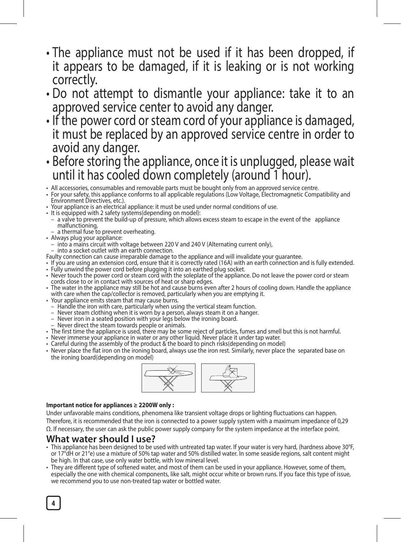- The appliance must not be used if it has been dropped, if it appears to be damaged, if it is leaking or is not working correctly.
- Do not attempt to dismantle your appliance: take it to an approved service center to avoid any danger.
- If the power cord or steam cord of your appliance is damaged, it must be replaced by an approved service centre in order to avoid any danger.
- Before storing the appliance, once it is unplugged, please wait until it has cooled down completely (around 1 hour).

• All accessories, consumables and removable parts must be bought only from an approved service centre. • For your safety, this appliance conforms to all applicable regulations (Low Voltage, Electromagnetic Compatibility and Environment Directives, etc.).

- Your appliance is an electrical appliance: it must be used under normal conditions of use.
- It is equipped with 2 safety systems(depending on model):
	- a valve to prevent the build-up of pressure, which allows excess steam to escape in the event of the appliance malfunctioning,
	- a thermal fuse to prevent overheating.
- Always plug your appliance:
- into a mains circuit with voltage between 220 V and 240 V (Alternating current only),
- into a socket outlet with an earth connection.
- Faulty connection can cause irreparable damage to the appliance and will invalidate your guarantee.
- If you are using an extension cord, ensure that it is correctly rated (16A) with an earth connection and is fully extended. • Fully unwind the power cord before plugging it into an earthed plug socket.
- Never touch the power cord or steam cord with the soleplate of the appliance. Do not leave the power cord or steam cords close to or in contact with sources of heat or sharp edges.
- The water in the appliance may still be hot and cause burns even after 2 hours of cooling down. Handle the appliance with care when the cap/collector is removed, particularly when you are emptying it.
- 
- Your appliance emits steam that may cause burns. Handle the iron with care, particularly when using the vertical steam function.
	-
	- Never steam clothing when it is worn by a person, always steam it on a hanger.<br>– Never iron in a seated position with your legs below the ironing board.
- Never direct the steam towards people or animals.
- The first time the appliance is used, there may be some reject of particles, fumes and smell but this is not harmful.
- Never immerse your appliance in water or any other liquid. Never place it under tap water. Careful during the assembly of the product & the board to pinch risks(depending on model)
- 
- Never place the flat iron on the ironing board, always use the iron rest. Similarly, never place the separated base on the ironing board(depending on model)



#### **Important notice for appliances ≥ 2200W only :**

Under unfavorable mains conditions, phenomena like transient voltage drops or lighting fluctuations can happen. Therefore, it is recommended that the iron is connected to a power supply system with a maximum impedance of 0,29 Ω. If necessary, the user can ask the public power supply company for the system impedance at the interface point.

#### **What water should I use?**

- This appliance has been designed to be used with untreated tap water. If your water is very hard, (hardness above 30°F, or 17°dH or 21°e) use a mixture of 50% tap water and 50% distilled water. In some seaside regions, salt content might be high. In that case, use only water bottle, with low mineral level.
- They are different type of softened water, and most of them can be used in your appliance. However, some of them, especially the one with chemical components, like salt, might occur white or brown runs. If you face this type of issue, we recommend you to use non-treated tap water or bottled water.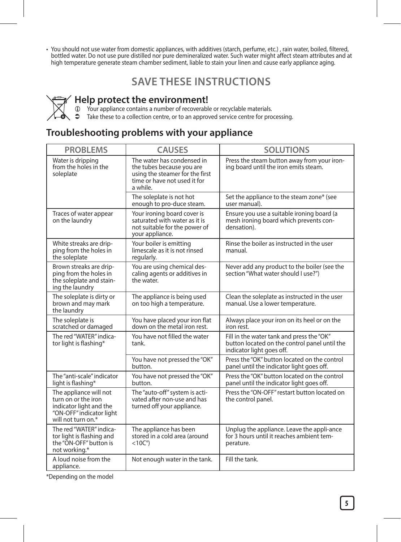• You should not use water from domestic appliances, with additives (starch, perfume, etc.) , rain water, boiled, filtered, bottled water. Do not use pure distilled nor pure demineralized water. Such water might affect steam attributes and at high temperature generate steam chamber sediment, liable to stain your linen and cause early appliance aging.

### **SAVE THESE INSTRUCTIONS**

**Help protect the environment!**<br> **1** Your appliance contains a number of recoverable or recyclable materials.<br> **3** Take these to a collection centre, or to an approved service centre for processing

### **Troubleshooting problems with your appliance**

| <b>PROBLEMS</b>                                                                                                            | <b>CAUSES</b>                                                                                                                          | <b>SOLUTIONS</b>                                                                                                        |  |  |
|----------------------------------------------------------------------------------------------------------------------------|----------------------------------------------------------------------------------------------------------------------------------------|-------------------------------------------------------------------------------------------------------------------------|--|--|
| Water is dripping<br>from the holes in the<br>soleplate                                                                    | The water has condensed in<br>the tubes because you are<br>using the steamer for the first<br>time or have not used it for<br>a while. | Press the steam button away from your iron-<br>ing board until the iron emits steam.                                    |  |  |
|                                                                                                                            | The soleplate is not hot<br>enough to pro-duce steam.                                                                                  | Set the appliance to the steam zone* (see<br>user manual).                                                              |  |  |
| Traces of water appear<br>on the laundry                                                                                   | Your ironing board cover is<br>saturated with water as it is<br>not suitable for the power of<br>your appliance.                       | Ensure you use a suitable ironing board (a<br>mesh ironing board which prevents con-<br>densation).                     |  |  |
| White streaks are drip-<br>ping from the holes in<br>the soleplate                                                         | Your boiler is emitting<br>limescale as it is not rinsed<br>regularly.                                                                 | Rinse the boiler as instructed in the user<br>manual.                                                                   |  |  |
| Brown streaks are drip-<br>ping from the holes in<br>the soleplate and stain-<br>ing the laundry                           | You are using chemical des-<br>caling agents or additives in<br>the water.                                                             | Never add any product to the boiler (see the<br>section "What water should I use?")                                     |  |  |
| The soleplate is dirty or<br>brown and may mark<br>the laundry                                                             | The appliance is being used<br>on too high a temperature.                                                                              | Clean the soleplate as instructed in the user<br>manual. Use a lower temperature.                                       |  |  |
| The soleplate is<br>scratched or damaged                                                                                   | You have placed your iron flat<br>down on the metal iron rest.                                                                         | Always place your iron on its heel or on the<br>iron rest.                                                              |  |  |
| The red "WATER" indica-<br>tor light is flashing*                                                                          | You have not filled the water<br>tank                                                                                                  | Fill in the water tank and press the "OK"<br>button located on the control panel until the<br>indicator light goes off. |  |  |
|                                                                                                                            | You have not pressed the "OK"<br>button.                                                                                               | Press the "OK" button located on the control<br>panel until the indicator light goes off.                               |  |  |
| The "anti-scale" indicator<br>light is flashing*                                                                           | You have not pressed the "OK"<br>button.                                                                                               | Press the "OK" button located on the control<br>panel until the indicator light goes off.                               |  |  |
| The appliance will not<br>turn on or the iron<br>indicator light and the<br>"ON-OFF" indicator light<br>will not turn on.* | The "auto-off" system is acti-<br>vated after non-use and has<br>turned off your appliance.                                            | Press the "ON-OFF" restart button located on<br>the control panel.                                                      |  |  |
| The red "WATER" indica-<br>tor light is flashing and<br>the "ON-OFF" button is<br>not working.*                            | The appliance has been<br>stored in a cold area (around<br>$<$ 10C $^{\circ}$ )                                                        | Unplug the appliance. Leave the appli-ance<br>for 3 hours until it reaches ambient tem-<br>perature.                    |  |  |
| A loud noise from the<br>appliance.                                                                                        | Not enough water in the tank.                                                                                                          | Fill the tank.                                                                                                          |  |  |

\*Depending on the model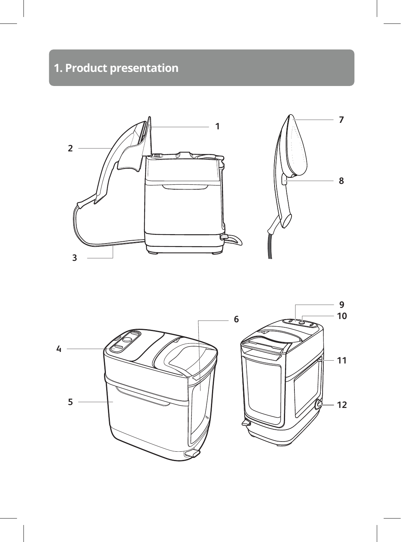## **1. Product presentation**



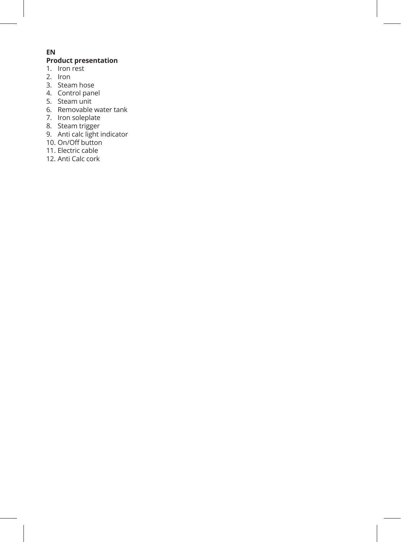#### **EN**

#### **Product presentation**

- 1. Iron rest
- $2.$  Iron
- 3. Steam hose
- 4. Control panel
- 5. Steam unit
- 6. Removable water tank
- 7. Iron soleplate
- 8. Steam trigger
- 9. Anti calc light indicator 10. On/Off button
- 
- 11. Electric cable
- 12. Anti Calc cork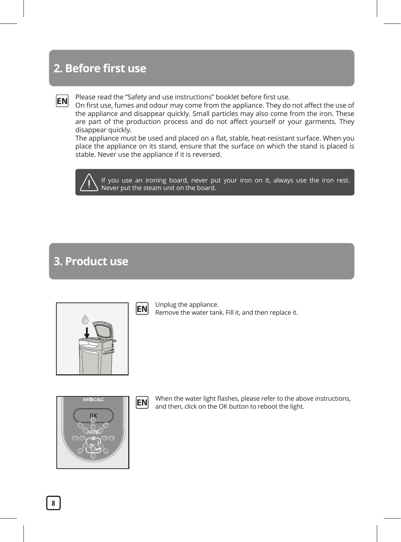### **2. Before first use**

**EN**

Please read the "Safety and use instructions" booklet before first use.

On first use, fumes and odour may come from the appliance. They do not affect the use of the appliance and disappear quickly. Small particles may also come from the iron. These are part of the production process and do not affect yourself or your garments. They disappear quickly.

The appliance must be used and placed on a flat, stable, heat-resistant surface. When you place the appliance on its stand, ensure that the surface on which the stand is placed is stable. Never use the appliance if it is reversed.

If you use an ironing board, never put your iron on it, always use the iron rest. Never put the steam unit on the board.

### **3. Product use**

| I |  | ı |  |
|---|--|---|--|

Unplug the appliance. Remove the water tank. Fill it, and then replace it. **EN**



When the water light flashes, please refer to the above instructions, and then, click on the OK button to reboot the light. **EN**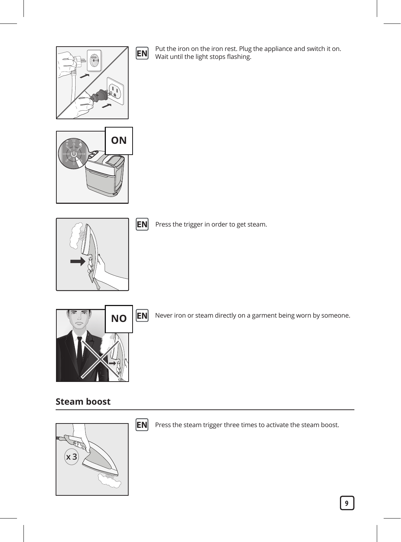

Put the iron on the iron rest. Plug the appliance and switch it on. Wait until the light stops flashing. **EN**





**EN** Press the trigger in order to get steam.



**NO** EN Never iron or steam directly on a garment being worn by someone.

#### **Steam boost**



**EN** Press the steam trigger three times to activate the steam boost.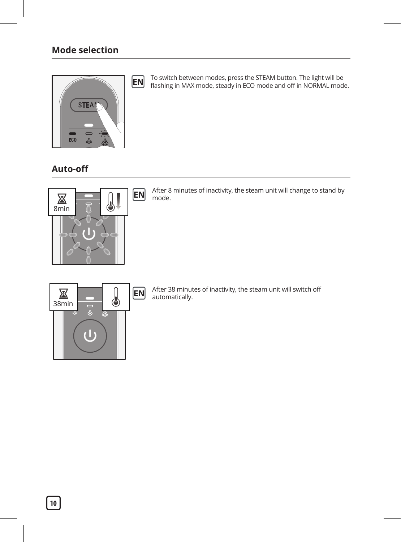

To switch between modes, press the STEAM button. The light will be flashing in MAX mode, steady in ECO mode and off in NORMAL mode. **EN**

**Auto-off** 



After 8 minutes of inactivity, the steam unit will change to stand by **EN** After 8



After 38 minutes of inactivity, the steam unit will switch off **EN** After 38 minute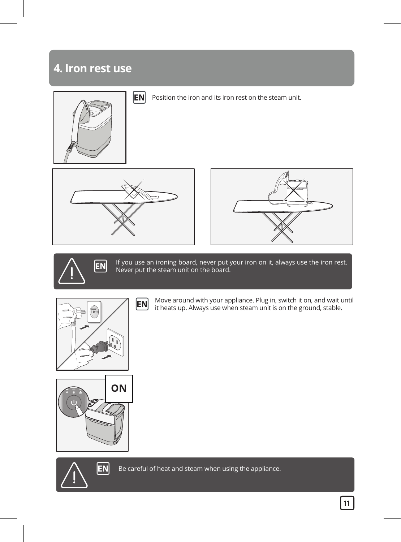### **4. Iron rest use**











If you use an ironing board, never put your iron on it, always use the iron rest. **EN** If you use an ironing board, never put y<br>Never put the steam unit on the board.





Move around with your appliance. Plug in, switch it on, and wait until **EN** Move around with your appliance. Plug in, switch it on, and walt use it heats up. Always use when steam unit is on the ground, stable.





**EN** Be careful of heat and steam when using the appliance.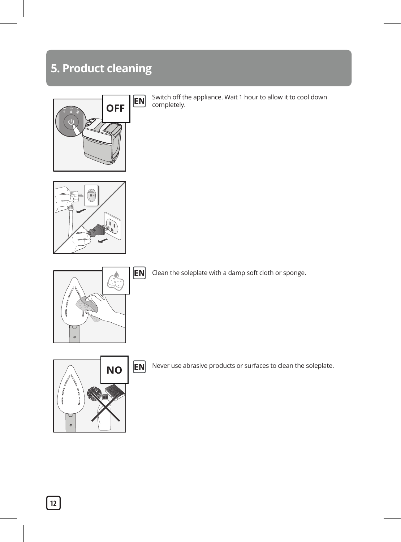### **5. Product cleaning**



Switch off the appliance. Wait 1 hour to allow it to cool down **EN** Switch off the completely.





**EN** Clean the soleplate with a damp soft cloth or sponge.



**EN** Never use abrasive products or surfaces to clean the soleplate.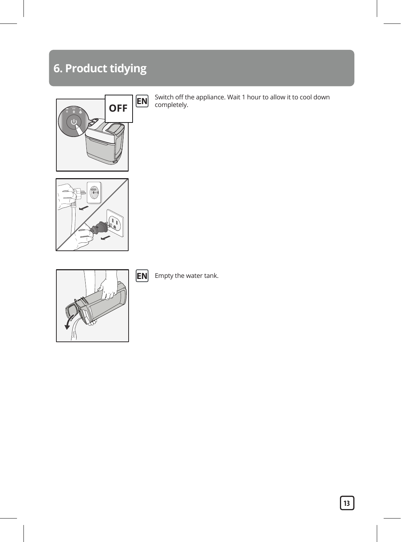### **6. Product tidying**



Switch off the appliance. Wait 1 hour to allow it to cool down completely. **EN**





**EN** Empty the water tank.